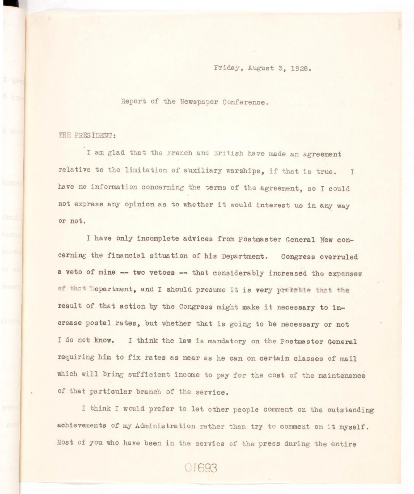## Friday, August 3, 1928.

Report of the Newspaper Conference.

THE PRESIDENT:

I am glad that the French and British have made an agreement relative to the limitation of auxiliary warships, if that is true. I have no information concerning the terms of the agreement, so I could not express any opinion as to whether it would interest us in any way or not.

I have only incomplete advices from Postmaster General New concerning the financial situation of his Department. Congress overruled a veto of mine -- two vetoes -- that considerably increased the expenses of that Department, and I should presume it is very probable that the result of that action by the Congress might make it necessary to increase postal rates, but whether that is going to be necessary or not I do not know. I think the law is mandatory on the Postmaster General requiring him to fix rates as near as he can on certain classes of mail which will bring sufficient income to pay for the cost of the maintenance of that particular branch of the service.

I think I would prefer to let other people comment on the outstanding achievements of my Administration rather than try to comment on it myself. Most of you who have been in the service of the press during the entire

01693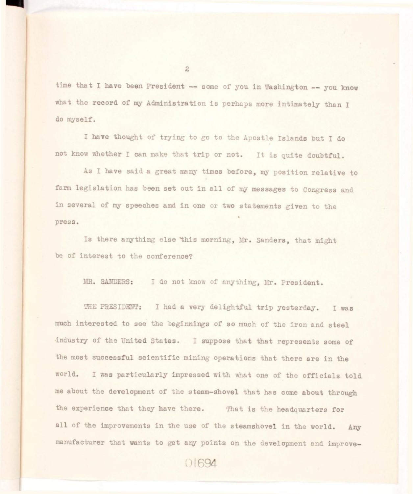time that I have been President  $-$  some of you in Washington  $-$  you know what the record of my Administration is perhaps more intimately than I do myself.

I have thought of trying to go to the Apostle Islands but I do not know whether I can make that trip or not. It is quite doubtful.

As I have said a great many times before, my position relative to farm legislation has been set out in all of my messages to Congress and in several of my speeches and in one or two statements given to the press.

Is there anything else this morning, Mr. Sanders, that might be of interest to the conference?

MR. SANDERS: I do not know of anything, Mr. President.

THE PRESIDENT: I had a very delightful trip yesterday. I was much interested to see the beginnings of so much of the iron and steel industry of the United States. I suppose that that represents some of the most successful scientific mining operations that there are in the world. I was particularly impressed with what one of the officials told me about the development of the steam-shovel that has come about through the experience that they have there. That is the headquarters for all of the improvements in the use of the steamshovel in the world. Any manufacturer that wants to get any points on the development and improve-

 $\overline{c}$ 

01694